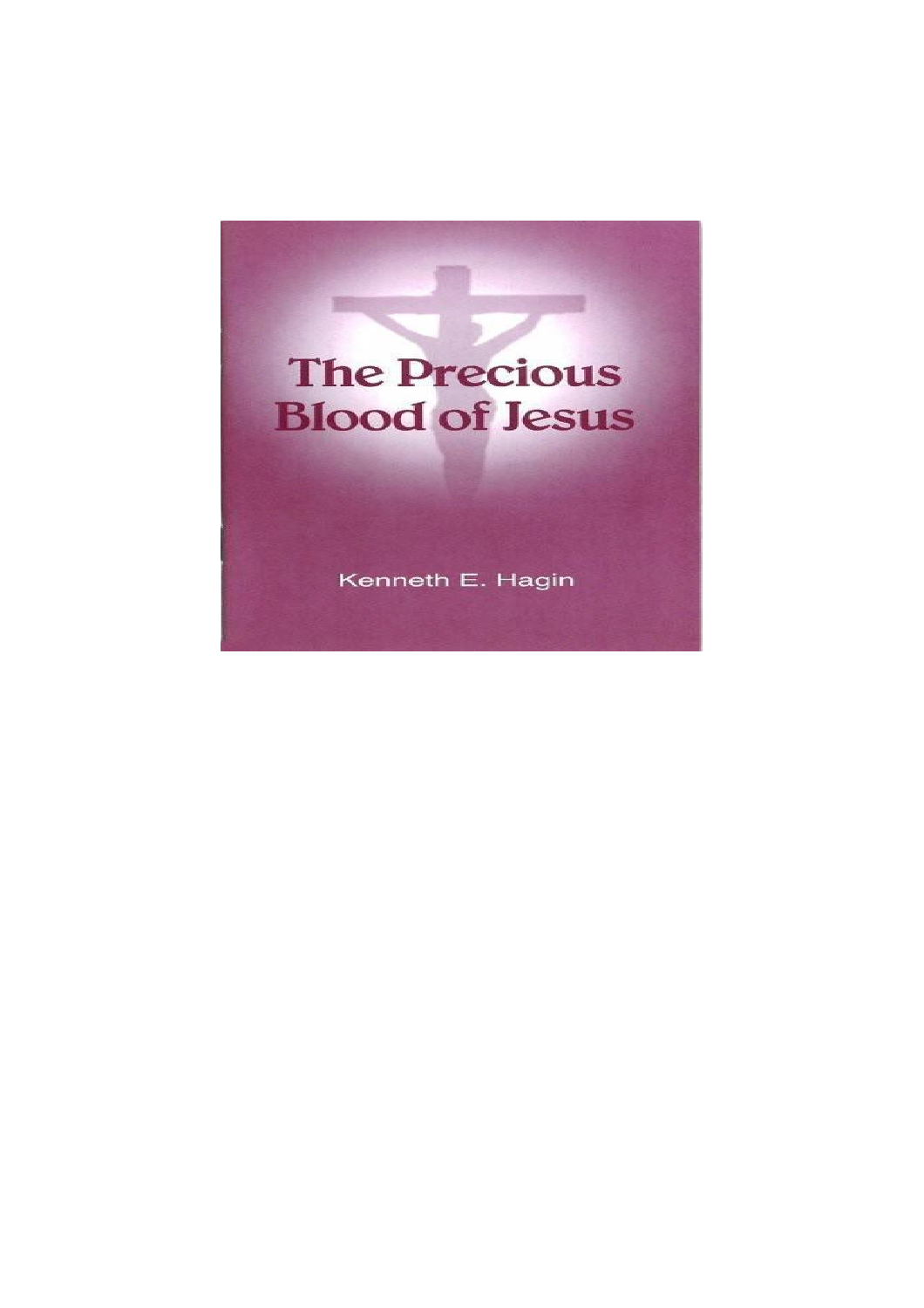# **The Precious Blood of Jesus**

×

Kenneth E. Hagin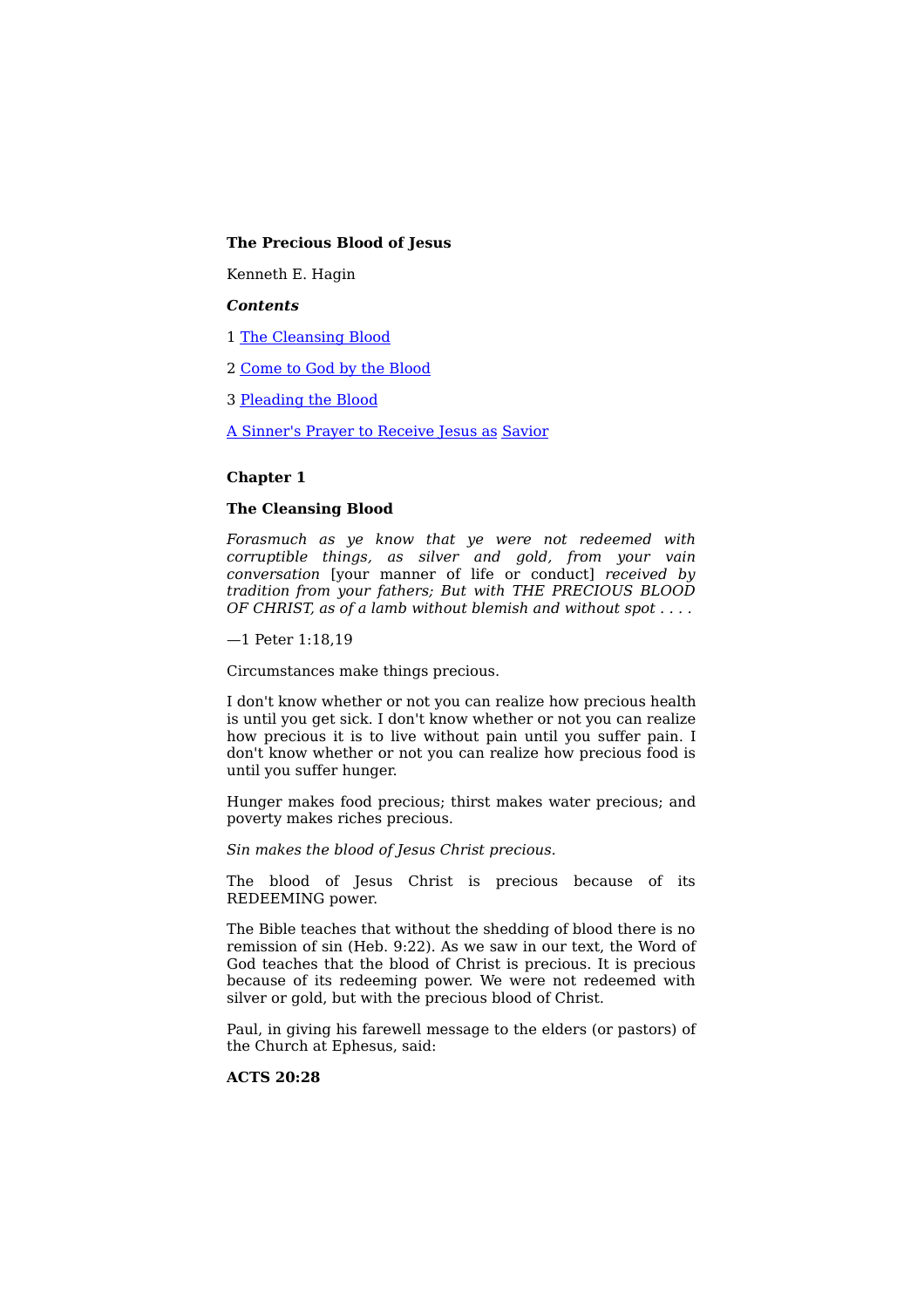### **The Precious Blood of Jesus**

Kenneth E. Hagin

### *Contents*

- 1 The Cleansing Blood
- 2 Come to God by the Blood
- 3 Pleading the Blood

A Sinner's Prayer to Receive Jesus as Savior

#### **Chapter 1**

### **The Cleansing Blood**

*Forasmuch as ye know that ye were not redeemed with corruptible things, as silver and gold, from your vain conversation* [your manner of life or conduct] *received by tradition from your fathers; But with THE PRECIOUS BLOOD OF CHRIST, as of a lamb without blemish and without spot . . . .*

—1 Peter 1:18,19

Circumstances make things precious.

I don't know whether or not you can realize how precious health is until you get sick. I don't know whether or not you can realize how precious it is to live without pain until you suffer pain. I don't know whether or not you can realize how precious food is until you suffer hunger.

Hunger makes food precious; thirst makes water precious; and poverty makes riches precious.

*Sin makes the blood of Jesus Christ precious.*

The blood of Jesus Christ is precious because of its REDEEMING power.

The Bible teaches that without the shedding of blood there is no remission of sin (Heb. 9:22). As we saw in our text, the Word of God teaches that the blood of Christ is precious. It is precious because of its redeeming power. We were not redeemed with silver or gold, but with the precious blood of Christ.

Paul, in giving his farewell message to the elders (or pastors) of the Church at Ephesus, said:

## **ACTS 20:28**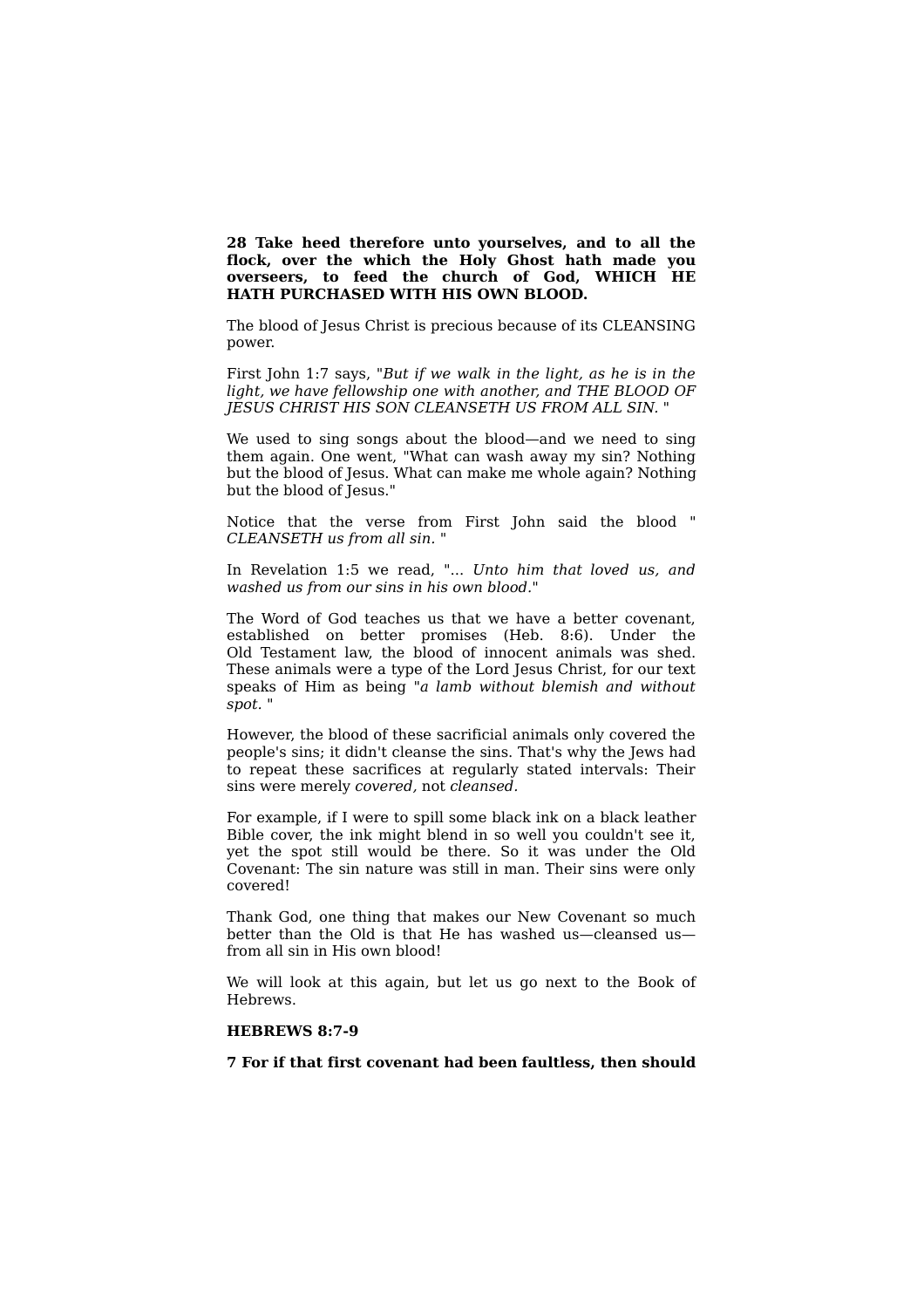**28 Take heed therefore unto yourselves, and to all the flock, over the which the Holy Ghost hath made you overseers, to feed the church of God, WHICH HE HATH PURCHASED WITH HIS OWN BLOOD.**

The blood of Jesus Christ is precious because of its CLEANSING power.

First John 1:7 says, *"But if we walk in the light, as he is in the light, we have fellowship one with another, and THE BLOOD OF JESUS CHRIST HIS SON CLEANSETH US FROM ALL SIN. "*

We used to sing songs about the blood—and we need to sing them again. One went, "What can wash away my sin? Nothing but the blood of Jesus. What can make me whole again? Nothing but the blood of Jesus."

Notice that the verse from First John said the blood " *CLEANSETH us from all sin.* "

In Revelation 1:5 we read, "... *Unto him that loved us, and washed us from our sins in his own blood."*

The Word of God teaches us that we have a better covenant, established on better promises (Heb. 8:6). Under the Old Testament law, the blood of innocent animals was shed. These animals were a type of the Lord Jesus Christ, for our text speaks of Him as being *"a lamb without blemish and without spot. "*

However, the blood of these sacrificial animals only covered the people's sins; it didn't cleanse the sins. That's why the Jews had to repeat these sacrifices at regularly stated intervals: Their sins were merely *covered,* not *cleansed.*

For example, if I were to spill some black ink on a black leather Bible cover, the ink might blend in so well you couldn't see it, yet the spot still would be there. So it was under the Old Covenant: The sin nature was still in man. Their sins were only covered!

Thank God, one thing that makes our New Covenant so much better than the Old is that He has washed us—cleansed us from all sin in His own blood!

We will look at this again, but let us go next to the Book of Hebrews.

#### **HEBREWS 8:7-9**

**7 For if that first covenant had been faultless, then should**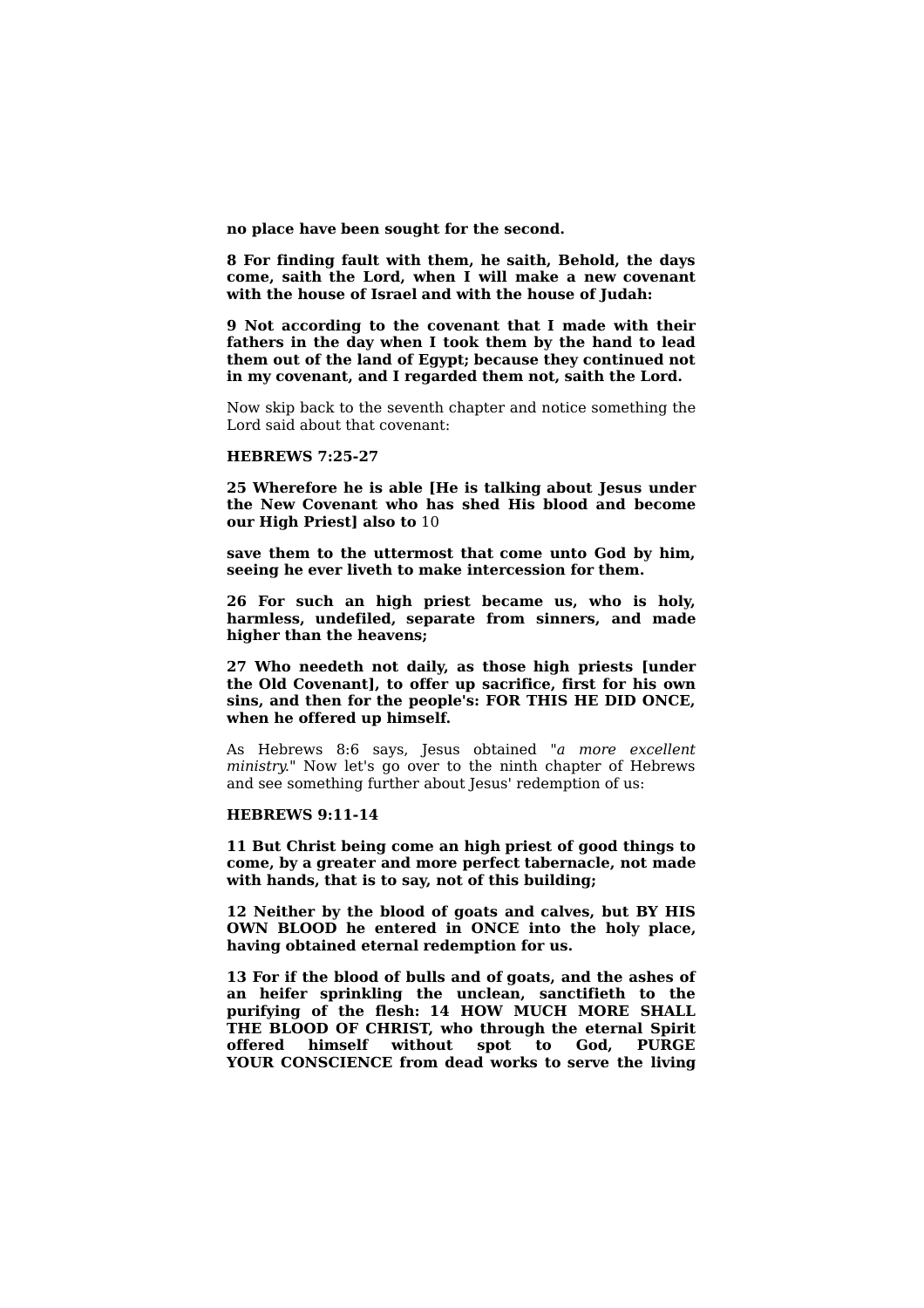**no place have been sought for the second.**

**8 For finding fault with them, he saith, Behold, the days come, saith the Lord, when I will make a new covenant with the house of Israel and with the house of Judah:**

**9 Not according to the covenant that I made with their fathers in the day when I took them by the hand to lead them out of the land of Egypt; because they continued not in my covenant, and I regarded them not, saith the Lord.**

Now skip back to the seventh chapter and notice something the Lord said about that covenant:

#### **HEBREWS 7:25-27**

**25 Wherefore he is able [He is talking about Jesus under the New Covenant who has shed His blood and become our High Priest] also to** 10

**save them to the uttermost that come unto God by him, seeing he ever liveth to make intercession for them.**

**26 For such an high priest became us, who is holy, harmless, undefiled, separate from sinners, and made higher than the heavens;**

**27 Who needeth not daily, as those high priests [under the Old Covenant], to offer up sacrifice, first for his own sins, and then for the people's: FOR THIS HE DID ONCE, when he offered up himself.**

As Hebrews 8:6 says, Jesus obtained *"a more excellent ministry."* Now let's go over to the ninth chapter of Hebrews and see something further about Jesus' redemption of us:

#### **HEBREWS 9:11-14**

**11 But Christ being come an high priest of good things to come, by a greater and more perfect tabernacle, not made with hands, that is to say, not of this building;**

**12 Neither by the blood of goats and calves, but BY HIS OWN BLOOD he entered in ONCE into the holy place, having obtained eternal redemption for us.**

**13 For if the blood of bulls and of goats, and the ashes of an heifer sprinkling the unclean, sanctifieth to the purifying of the flesh: 14 HOW MUCH MORE SHALL THE BLOOD OF CHRIST, who through the eternal Spirit offered himself without spot to God, PURGE YOUR CONSCIENCE from dead works to serve the living**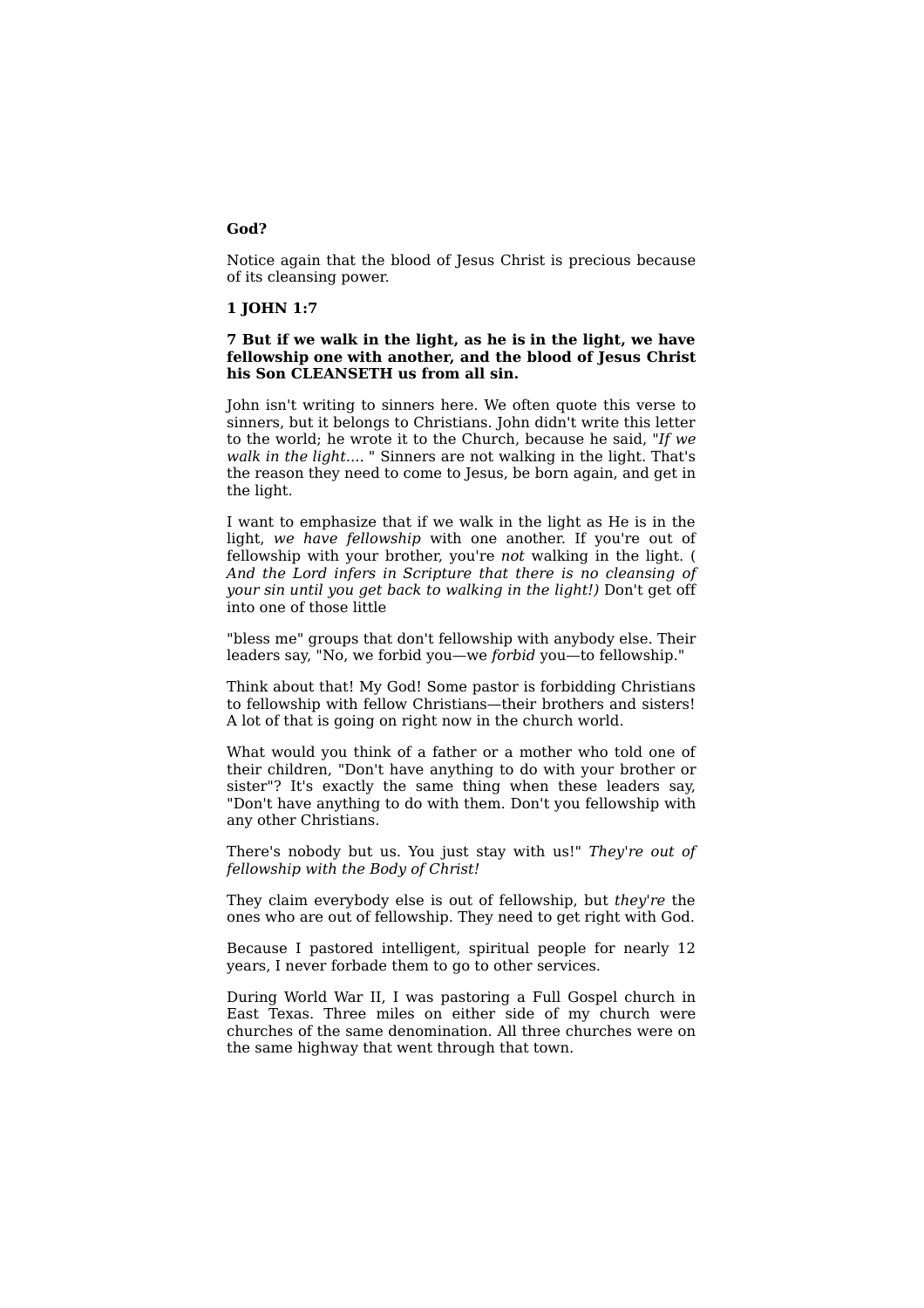# **God?**

Notice again that the blood of Jesus Christ is precious because of its cleansing power.

#### **1 JOHN 1:7**

#### **7 But if we walk in the light, as he is in the light, we have fellowship one with another, and the blood of Jesus Christ his Son CLEANSETH us from all sin.**

John isn't writing to sinners here. We often quote this verse to sinners, but it belongs to Christians. John didn't write this letter to the world; he wrote it to the Church, because he said, *"If we walk in the light.... "* Sinners are not walking in the light. That's the reason they need to come to Jesus, be born again, and get in the light.

I want to emphasize that if we walk in the light as He is in the light, *we have fellowship* with one another. If you're out of fellowship with your brother, you're *not* walking in the light. ( *And the Lord infers in Scripture that there is no cleansing of your sin until you get back to walking in the light!)* Don't get off into one of those little

"bless me" groups that don't fellowship with anybody else. Their leaders say, "No, we forbid you—we *forbid* you—to fellowship."

Think about that! My God! Some pastor is forbidding Christians to fellowship with fellow Christians—their brothers and sisters! A lot of that is going on right now in the church world.

What would you think of a father or a mother who told one of their children, "Don't have anything to do with your brother or sister"? It's exactly the same thing when these leaders say, "Don't have anything to do with them. Don't you fellowship with any other Christians.

There's nobody but us. You just stay with us!" *They're out of fellowship with the Body of Christ!*

They claim everybody else is out of fellowship, but *they're* the ones who are out of fellowship. They need to get right with God.

Because I pastored intelligent, spiritual people for nearly 12 years, I never forbade them to go to other services.

During World War II, I was pastoring a Full Gospel church in East Texas. Three miles on either side of my church were churches of the same denomination. All three churches were on the same highway that went through that town.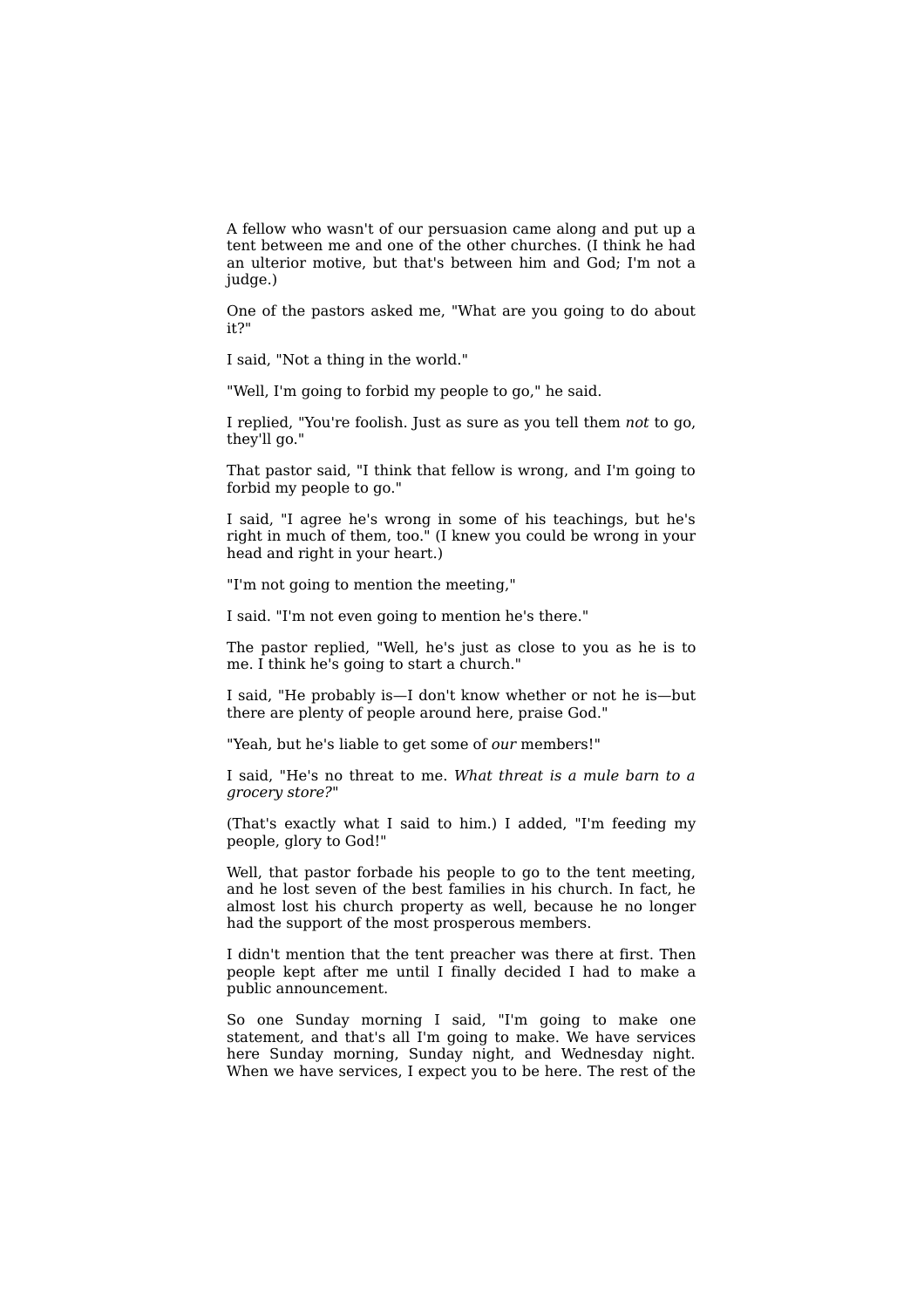A fellow who wasn't of our persuasion came along and put up a tent between me and one of the other churches. (I think he had an ulterior motive, but that's between him and God; I'm not a judge.)

One of the pastors asked me, "What are you going to do about it?"

I said, "Not a thing in the world."

"Well, I'm going to forbid my people to go," he said.

I replied, "You're foolish. Just as sure as you tell them *not* to go, they'll go."

That pastor said, "I think that fellow is wrong, and I'm going to forbid my people to go."

I said, "I agree he's wrong in some of his teachings, but he's right in much of them, too." (I knew you could be wrong in your head and right in your heart.)

"I'm not going to mention the meeting,"

I said. "I'm not even going to mention he's there."

The pastor replied, "Well, he's just as close to you as he is to me. I think he's going to start a church."

I said, "He probably is—I don't know whether or not he is—but there are plenty of people around here, praise God."

"Yeah, but he's liable to get some of *our* members!"

I said, "He's no threat to me. *What threat is a mule barn to a grocery store?"*

(That's exactly what I said to him.) I added, "I'm feeding my people, glory to God!"

Well, that pastor forbade his people to go to the tent meeting, and he lost seven of the best families in his church. In fact, he almost lost his church property as well, because he no longer had the support of the most prosperous members.

I didn't mention that the tent preacher was there at first. Then people kept after me until I finally decided I had to make a public announcement.

So one Sunday morning I said, "I'm going to make one statement, and that's all I'm going to make. We have services here Sunday morning, Sunday night, and Wednesday night. When we have services, I expect you to be here. The rest of the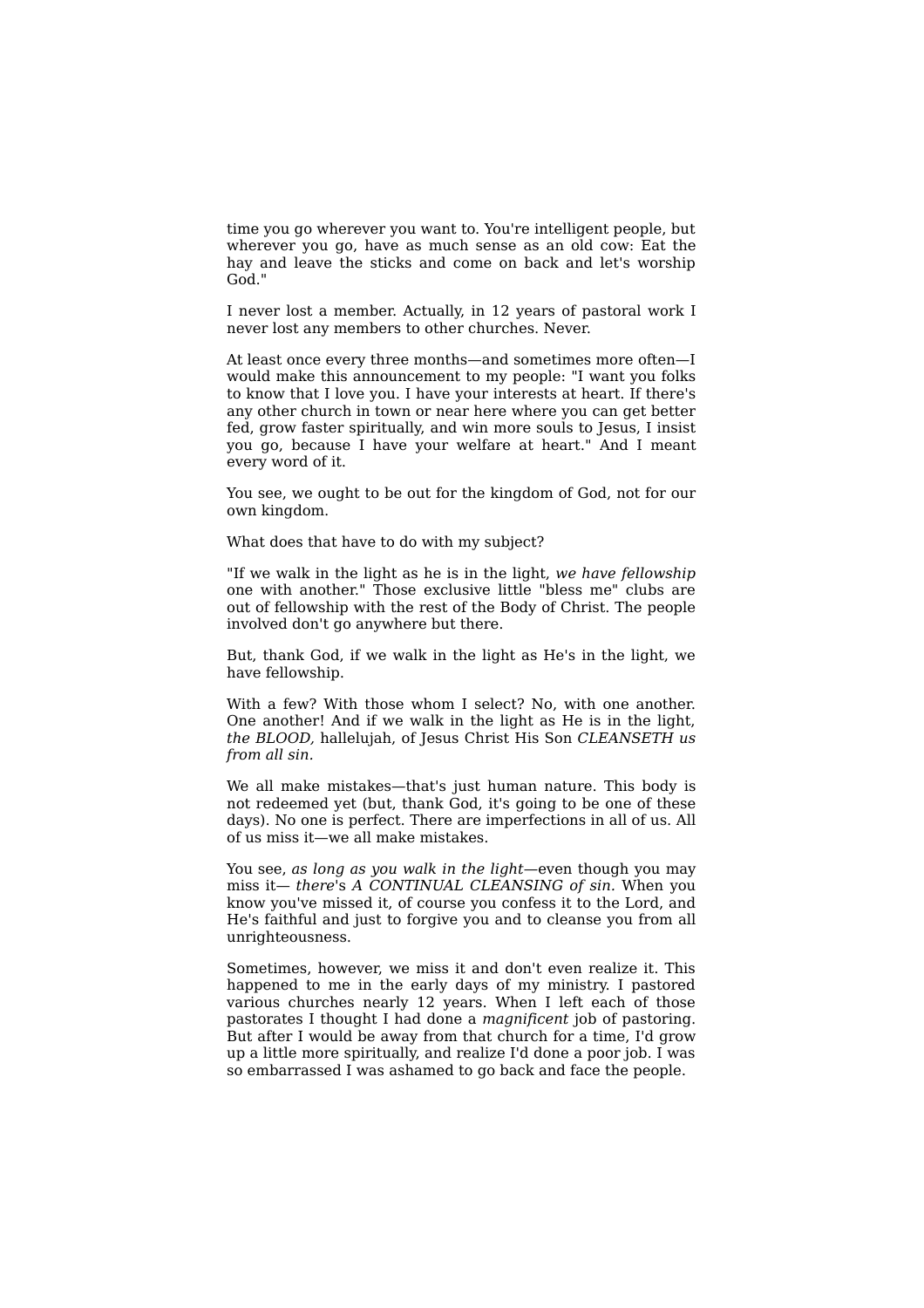time you go wherever you want to. You're intelligent people, but wherever you go, have as much sense as an old cow: Eat the hay and leave the sticks and come on back and let's worship God."

I never lost a member. Actually, in 12 years of pastoral work I never lost any members to other churches. Never.

At least once every three months—and sometimes more often—I would make this announcement to my people: "I want you folks to know that I love you. I have your interests at heart. If there's any other church in town or near here where you can get better fed, grow faster spiritually, and win more souls to Jesus, I insist you go, because I have your welfare at heart." And I meant every word of it.

You see, we ought to be out for the kingdom of God, not for our own kingdom.

What does that have to do with my subject?

"If we walk in the light as he is in the light, *we have fellowship* one with another." Those exclusive little "bless me" clubs are out of fellowship with the rest of the Body of Christ. The people involved don't go anywhere but there.

But, thank God, if we walk in the light as He's in the light, we have fellowship.

With a few? With those whom I select? No, with one another. One another! And if we walk in the light as He is in the light, *the BLOOD,* hallelujah, of Jesus Christ His Son *CLEANSETH us from all sin.*

We all make mistakes—that's just human nature. This body is not redeemed yet (but, thank God, it's going to be one of these days). No one is perfect. There are imperfections in all of us. All of us miss it—we all make mistakes.

You see, *as long as you walk in the light—*even though you may miss it— *there*'s *A CONTINUAL CLEANSING of sin.* When you know you've missed it, of course you confess it to the Lord, and He's faithful and just to forgive you and to cleanse you from all unrighteousness.

Sometimes, however, we miss it and don't even realize it. This happened to me in the early days of my ministry. I pastored various churches nearly 12 years. When I left each of those pastorates I thought I had done a *magnificent* job of pastoring. But after I would be away from that church for a time, I'd grow up a little more spiritually, and realize I'd done a poor job. I was so embarrassed I was ashamed to go back and face the people.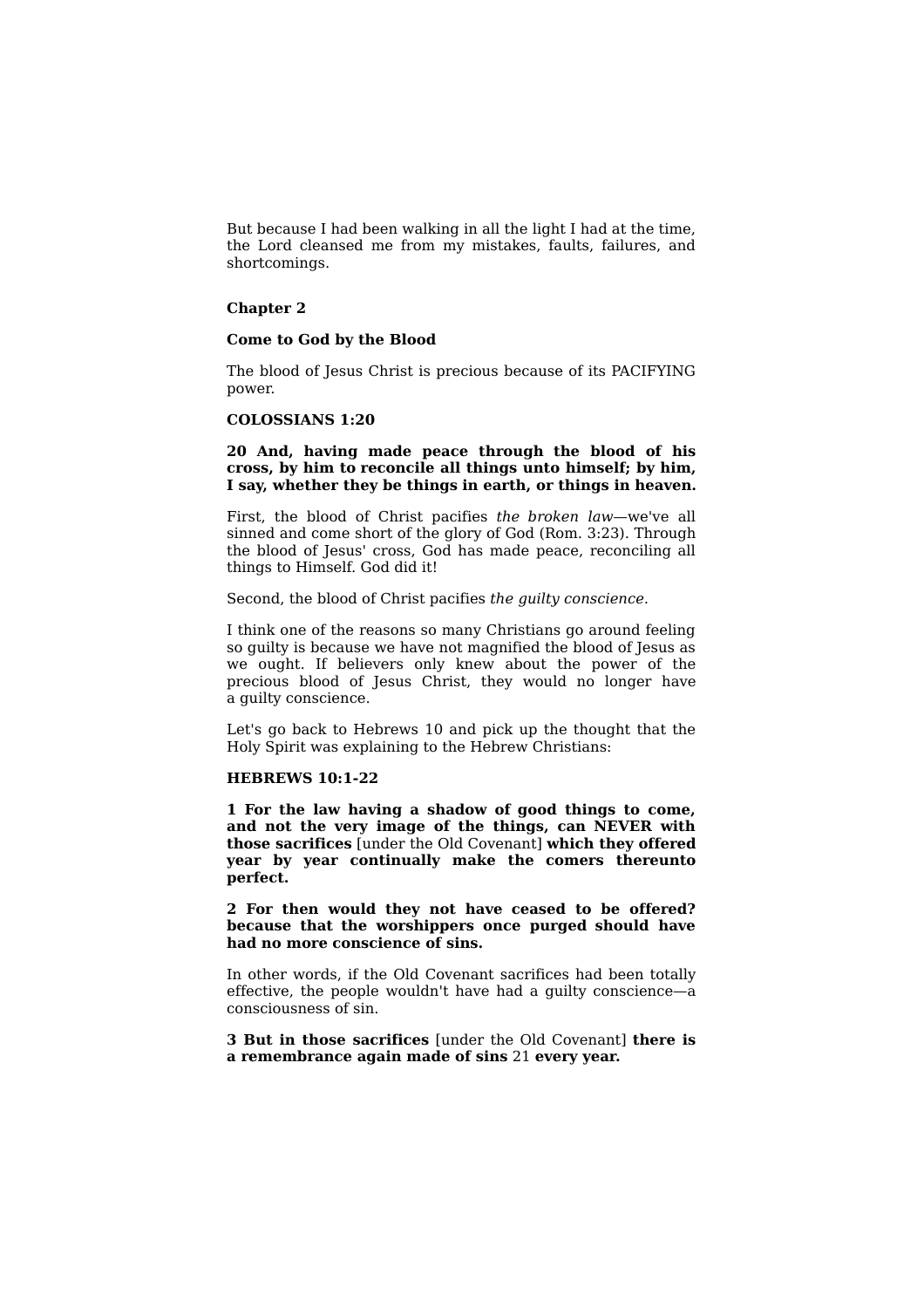But because I had been walking in all the light I had at the time, the Lord cleansed me from my mistakes, faults, failures, and shortcomings.

#### **Chapter 2**

#### **Come to God by the Blood**

The blood of Jesus Christ is precious because of its PACIFYING power.

#### **COLOSSIANS 1:20**

#### **20 And, having made peace through the blood of his cross, by him to reconcile all things unto himself; by him, I say, whether they be things in earth, or things in heaven.**

First, the blood of Christ pacifies *the broken law*—we've all sinned and come short of the glory of God (Rom. 3:23). Through the blood of Jesus' cross, God has made peace, reconciling all things to Himself. God did it!

Second, the blood of Christ pacifies *the guilty conscience.*

I think one of the reasons so many Christians go around feeling so guilty is because we have not magnified the blood of Jesus as we ought. If believers only knew about the power of the precious blood of Jesus Christ, they would no longer have a guilty conscience.

Let's go back to Hebrews 10 and pick up the thought that the Holy Spirit was explaining to the Hebrew Christians:

# **HEBREWS 10:1-22**

**1 For the law having a shadow of good things to come, and not the very image of the things, can NEVER with those sacrifices** [under the Old Covenant] **which they offered year by year continually make the comers thereunto perfect.**

**2 For then would they not have ceased to be offered? because that the worshippers once purged should have had no more conscience of sins.**

In other words, if the Old Covenant sacrifices had been totally effective, the people wouldn't have had a guilty conscience—a consciousness of sin.

**3 But in those sacrifices** [under the Old Covenant] **there is a remembrance again made of sins** 21 **every year.**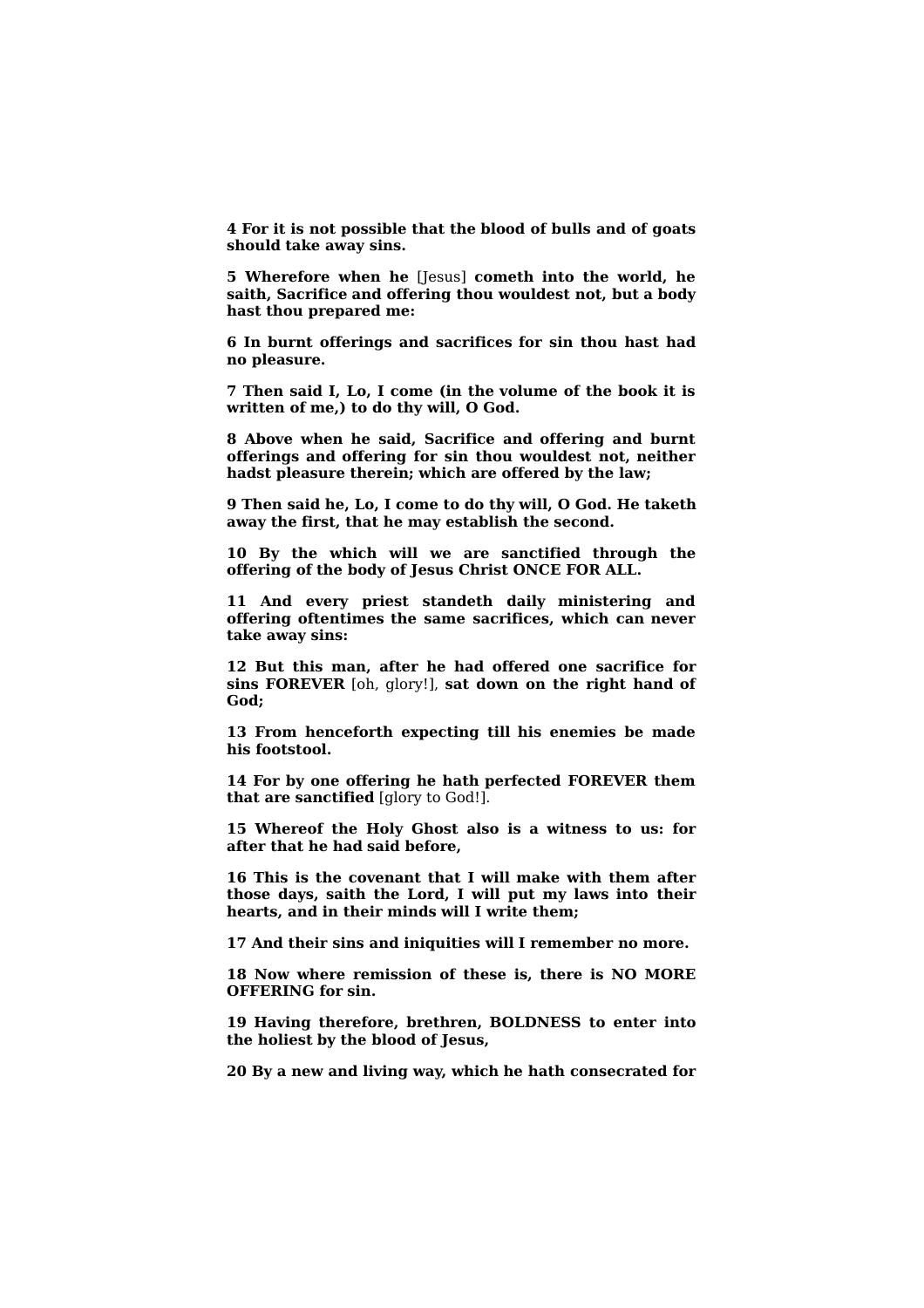**4 For it is not possible that the blood of bulls and of goats should take away sins.**

**5 Wherefore when he** [Jesus] **cometh into the world, he saith, Sacrifice and offering thou wouldest not, but a body hast thou prepared me:**

**6 In burnt offerings and sacrifices for sin thou hast had no pleasure.**

**7 Then said I, Lo, I come (in the volume of the book it is written of me,) to do thy will, O God.**

**8 Above when he said, Sacrifice and offering and burnt offerings and offering for sin thou wouldest not, neither hadst pleasure therein; which are offered by the law;**

**9 Then said he, Lo, I come to do thy will, O God. He taketh away the first, that he may establish the second.**

**10 By the which will we are sanctified through the offering of the body of Jesus Christ ONCE FOR ALL.**

**11 And every priest standeth daily ministering and offering oftentimes the same sacrifices, which can never take away sins:**

**12 But this man, after he had offered one sacrifice for sins FOREVER** [oh, glory!], **sat down on the right hand of God;**

**13 From henceforth expecting till his enemies be made his footstool.**

**14 For by one offering he hath perfected FOREVER them that are sanctified** [glory to God!].

**15 Whereof the Holy Ghost also is a witness to us: for after that he had said before,**

**16 This is the covenant that I will make with them after those days, saith the Lord, I will put my laws into their hearts, and in their minds will I write them;**

**17 And their sins and iniquities will I remember no more.**

**18 Now where remission of these is, there is NO MORE OFFERING for sin.**

**19 Having therefore, brethren, BOLDNESS to enter into the holiest by the blood of Jesus,**

**20 By a new and living way, which he hath consecrated for**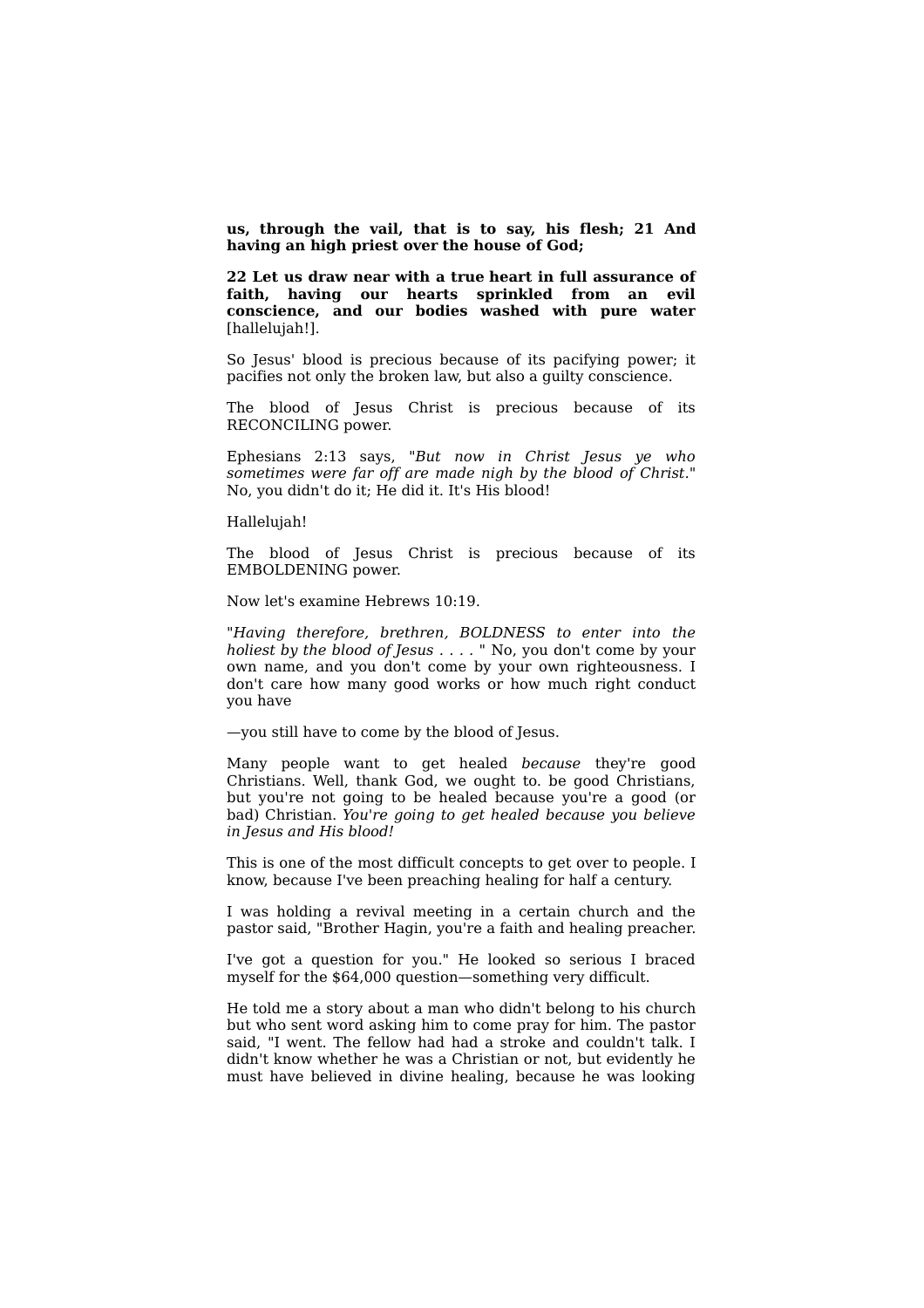**us, through the vail, that is to say, his flesh; 21 And having an high priest over the house of God;**

**22 Let us draw near with a true heart in full assurance of faith, having our hearts sprinkled from an evil conscience, and our bodies washed with pure water** [hallelujah!].

So Jesus' blood is precious because of its pacifying power; it pacifies not only the broken law, but also a guilty conscience.

The blood of Jesus Christ is precious because of its RECONCILING power.

Ephesians 2:13 says, *"But now in Christ Jesus ye who sometimes were far off are made nigh by the blood of Christ."* No, you didn't do it; He did it. It's His blood!

#### Hallelujah!

The blood of Jesus Christ is precious because of its EMBOLDENING power.

Now let's examine Hebrews 10:19.

*"Having therefore, brethren, BOLDNESS to enter into the holiest by the blood of Jesus . . . . "* No, you don't come by your own name, and you don't come by your own righteousness. I don't care how many good works or how much right conduct you have

—you still have to come by the blood of Jesus.

Many people want to get healed *because* they're good Christians. Well, thank God, we ought to. be good Christians, but you're not going to be healed because you're a good (or bad) Christian. *You're going to get healed because you believe in Jesus and His blood!*

This is one of the most difficult concepts to get over to people. I know, because I've been preaching healing for half a century.

I was holding a revival meeting in a certain church and the pastor said, "Brother Hagin, you're a faith and healing preacher.

I've got a question for you." He looked so serious I braced myself for the \$64,000 question—something very difficult.

He told me a story about a man who didn't belong to his church but who sent word asking him to come pray for him. The pastor said, "I went. The fellow had had a stroke and couldn't talk. I didn't know whether he was a Christian or not, but evidently he must have believed in divine healing, because he was looking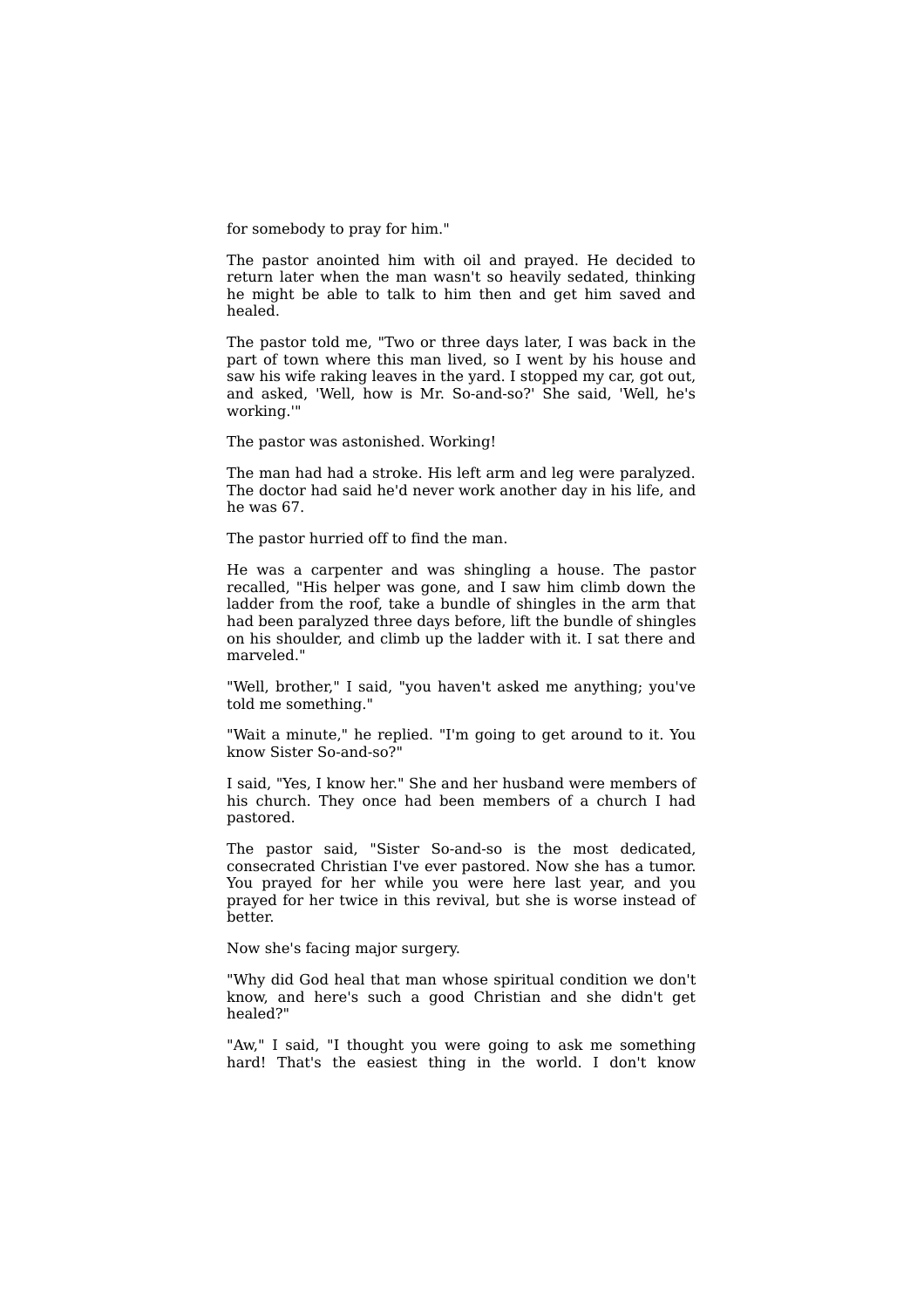for somebody to pray for him."

The pastor anointed him with oil and prayed. He decided to return later when the man wasn't so heavily sedated, thinking he might be able to talk to him then and get him saved and healed.

The pastor told me, "Two or three days later, I was back in the part of town where this man lived, so I went by his house and saw his wife raking leaves in the yard. I stopped my car, got out, and asked, 'Well, how is Mr. So-and-so?' She said, 'Well, he's working.'"

The pastor was astonished. Working!

The man had had a stroke. His left arm and leg were paralyzed. The doctor had said he'd never work another day in his life, and he was 67.

The pastor hurried off to find the man.

He was a carpenter and was shingling a house. The pastor recalled, "His helper was gone, and I saw him climb down the ladder from the roof, take a bundle of shingles in the arm that had been paralyzed three days before, lift the bundle of shingles on his shoulder, and climb up the ladder with it. I sat there and marveled."

"Well, brother," I said, "you haven't asked me anything; you've told me something."

"Wait a minute," he replied. "I'm going to get around to it. You know Sister So-and-so?"

I said, "Yes, I know her." She and her husband were members of his church. They once had been members of a church I had pastored.

The pastor said, "Sister So-and-so is the most dedicated, consecrated Christian I've ever pastored. Now she has a tumor. You prayed for her while you were here last year, and you prayed for her twice in this revival, but she is worse instead of better.

Now she's facing major surgery.

"Why did God heal that man whose spiritual condition we don't know, and here's such a good Christian and she didn't get healed?"

"Aw," I said, "I thought you were going to ask me something hard! That's the easiest thing in the world. I don't know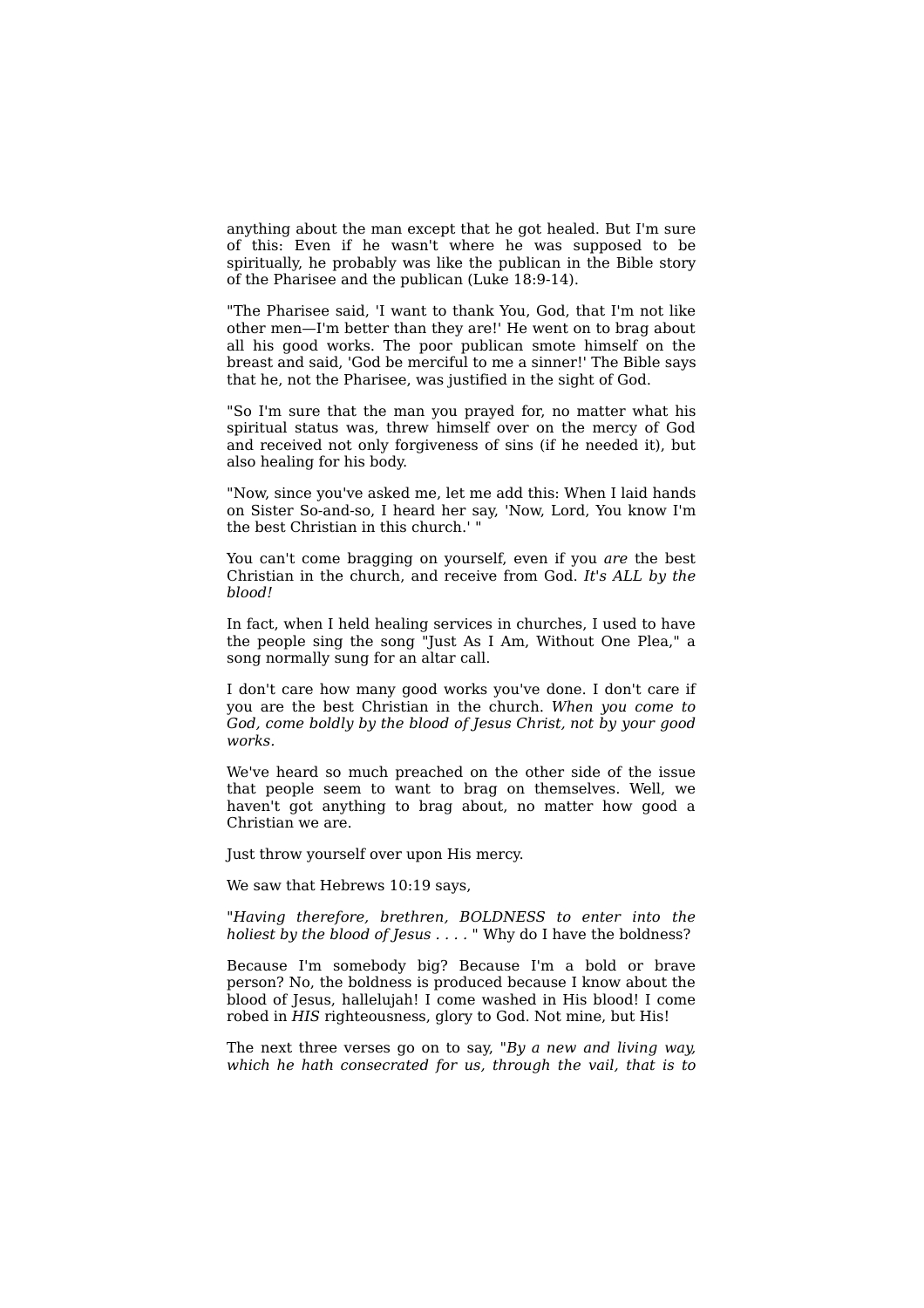anything about the man except that he got healed. But I'm sure of this: Even if he wasn't where he was supposed to be spiritually, he probably was like the publican in the Bible story of the Pharisee and the publican (Luke 18:9-14).

"The Pharisee said, 'I want to thank You, God, that I'm not like other men—I'm better than they are!' He went on to brag about all his good works. The poor publican smote himself on the breast and said, 'God be merciful to me a sinner!' The Bible says that he, not the Pharisee, was justified in the sight of God.

"So I'm sure that the man you prayed for, no matter what his spiritual status was, threw himself over on the mercy of God and received not only forgiveness of sins (if he needed it), but also healing for his body.

"Now, since you've asked me, let me add this: When I laid hands on Sister So-and-so, I heard her say, 'Now, Lord, You know I'm the best Christian in this church.' "

You can't come bragging on yourself, even if you *are* the best Christian in the church, and receive from God. *It's ALL by the blood!*

In fact, when I held healing services in churches, I used to have the people sing the song "Just As I Am, Without One Plea," a song normally sung for an altar call.

I don't care how many good works you've done. I don't care if you are the best Christian in the church. *When you come to God, come boldly by the blood of Jesus Christ, not by your good works.*

We've heard so much preached on the other side of the issue that people seem to want to brag on themselves. Well, we haven't got anything to brag about, no matter how good a Christian we are.

Just throw yourself over upon His mercy.

We saw that Hebrews 10:19 says,

*"Having therefore, brethren, BOLDNESS to enter into the holiest by the blood of Jesus . . . . "* Why do I have the boldness?

Because I'm somebody big? Because I'm a bold or brave person? No, the boldness is produced because I know about the blood of Jesus, hallelujah! I come washed in His blood! I come robed in *HIS* righteousness, glory to God. Not mine, but His!

The next three verses go on to say, *"By a new and living way, which he hath consecrated for us, through the vail, that is to*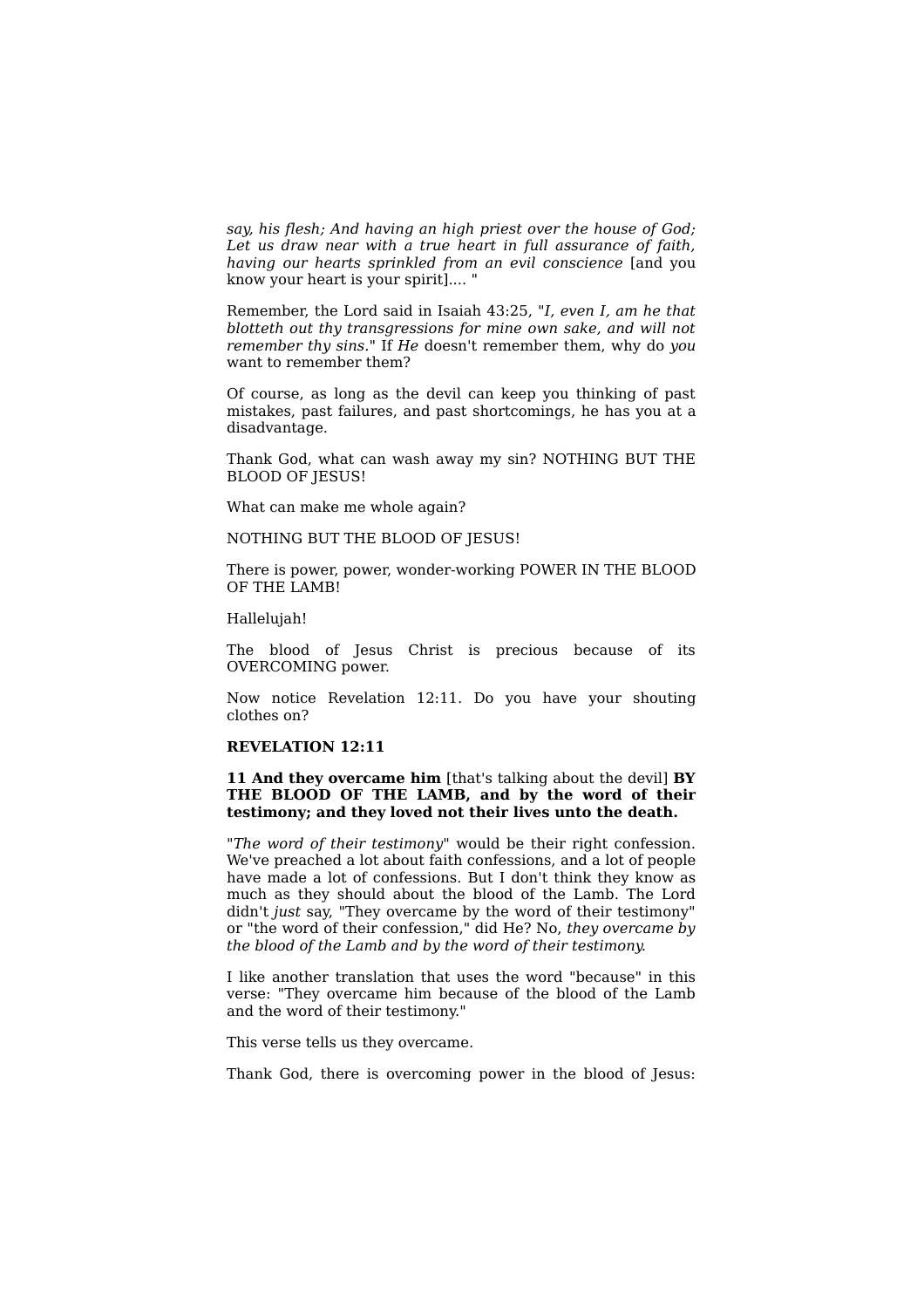*say, his flesh; And having an high priest over the house of God; Let us draw near with a true heart in full assurance of faith, having our hearts sprinkled from an evil conscience* [and you know your heart is your spirit].... "

Remember, the Lord said in Isaiah 43:25, *"I, even I, am he that blotteth out thy transgressions for mine own sake, and will not remember thy sins."* If *He* doesn't remember them, why do *you* want to remember them?

Of course, as long as the devil can keep you thinking of past mistakes, past failures, and past shortcomings, he has you at a disadvantage.

Thank God, what can wash away my sin? NOTHING BUT THE BLOOD OF IESUS!

What can make me whole again?

# NOTHING BUT THE BLOOD OF JESUS!

There is power, power, wonder-working POWER IN THE BLOOD OF THE LAMB!

Hallelujah!

The blood of Jesus Christ is precious because of its OVERCOMING power.

Now notice Revelation 12:11. Do you have your shouting clothes on?

#### **REVELATION 12:11**

**11 And they overcame him** [that's talking about the devil] **BY THE BLOOD OF THE LAMB, and by the word of their testimony; and they loved not their lives unto the death.**

*"The word of their testimony"* would be their right confession. We've preached a lot about faith confessions, and a lot of people have made a lot of confessions. But I don't think they know as much as they should about the blood of the Lamb. The Lord didn't *just* say, "They overcame by the word of their testimony" or "the word of their confession," did He? No, *they overcame by the blood of the Lamb and by the word of their testimony.*

I like another translation that uses the word "because" in this verse: "They overcame him because of the blood of the Lamb and the word of their testimony."

This verse tells us they overcame.

Thank God, there is overcoming power in the blood of Jesus: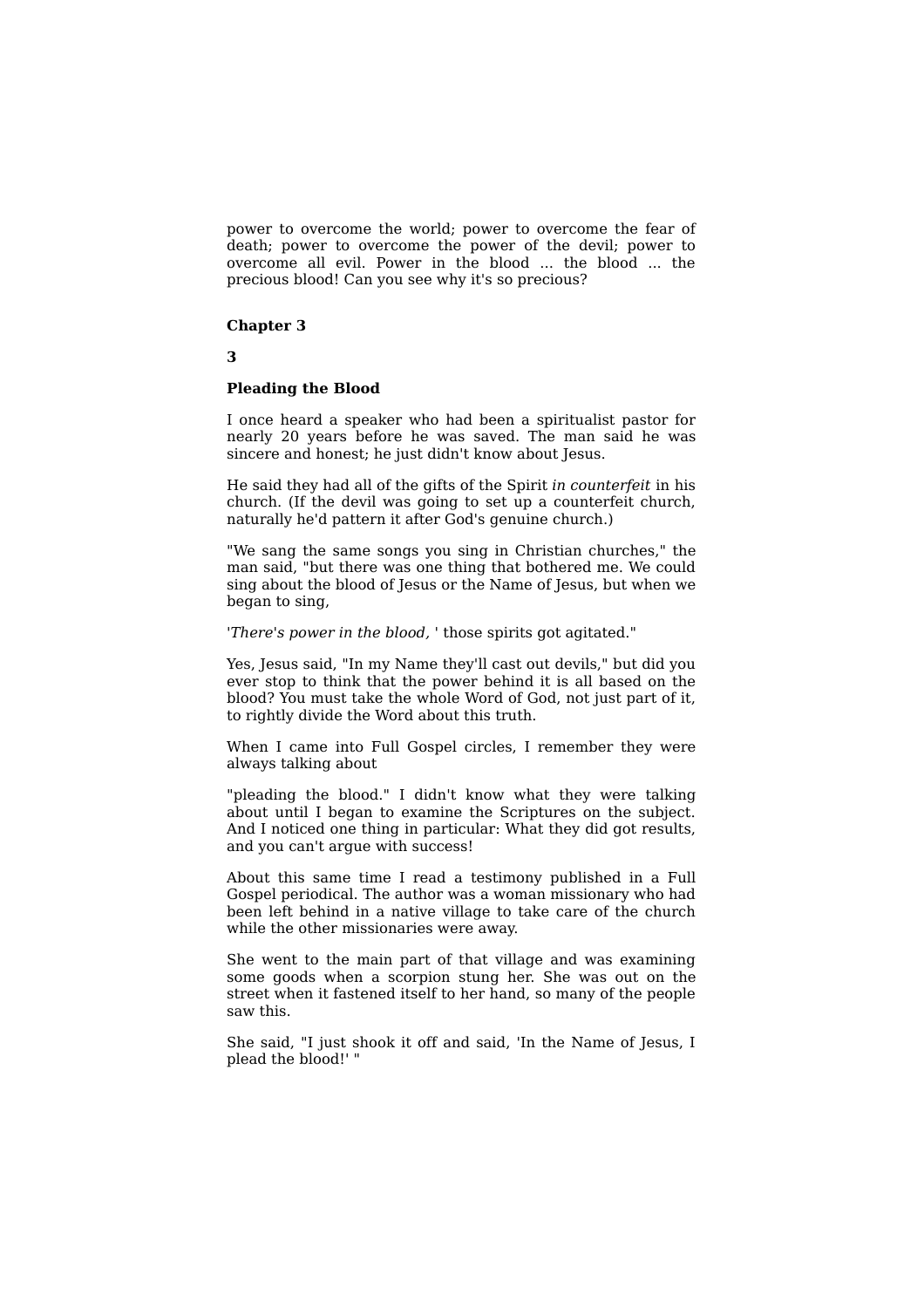power to overcome the world; power to overcome the fear of death; power to overcome the power of the devil; power to overcome all evil. Power in the blood ... the blood ... the precious blood! Can you see why it's so precious?

#### **Chapter 3**

**3**

#### **Pleading the Blood**

I once heard a speaker who had been a spiritualist pastor for nearly 20 years before he was saved. The man said he was sincere and honest; he just didn't know about Jesus.

He said they had all of the gifts of the Spirit *in counterfeit* in his church. (If the devil was going to set up a counterfeit church, naturally he'd pattern it after God's genuine church.)

"We sang the same songs you sing in Christian churches," the man said, "but there was one thing that bothered me. We could sing about the blood of Jesus or the Name of Jesus, but when we began to sing,

*'There's power in the blood,* ' those spirits got agitated."

Yes, Jesus said, "In my Name they'll cast out devils," but did you ever stop to think that the power behind it is all based on the blood? You must take the whole Word of God, not just part of it, to rightly divide the Word about this truth.

When I came into Full Gospel circles, I remember they were always talking about

"pleading the blood." I didn't know what they were talking about until I began to examine the Scriptures on the subject. And I noticed one thing in particular: What they did got results, and you can't argue with success!

About this same time I read a testimony published in a Full Gospel periodical. The author was a woman missionary who had been left behind in a native village to take care of the church while the other missionaries were away.

She went to the main part of that village and was examining some goods when a scorpion stung her. She was out on the street when it fastened itself to her hand, so many of the people saw this.

She said, "I just shook it off and said, 'In the Name of Jesus, I plead the blood!' "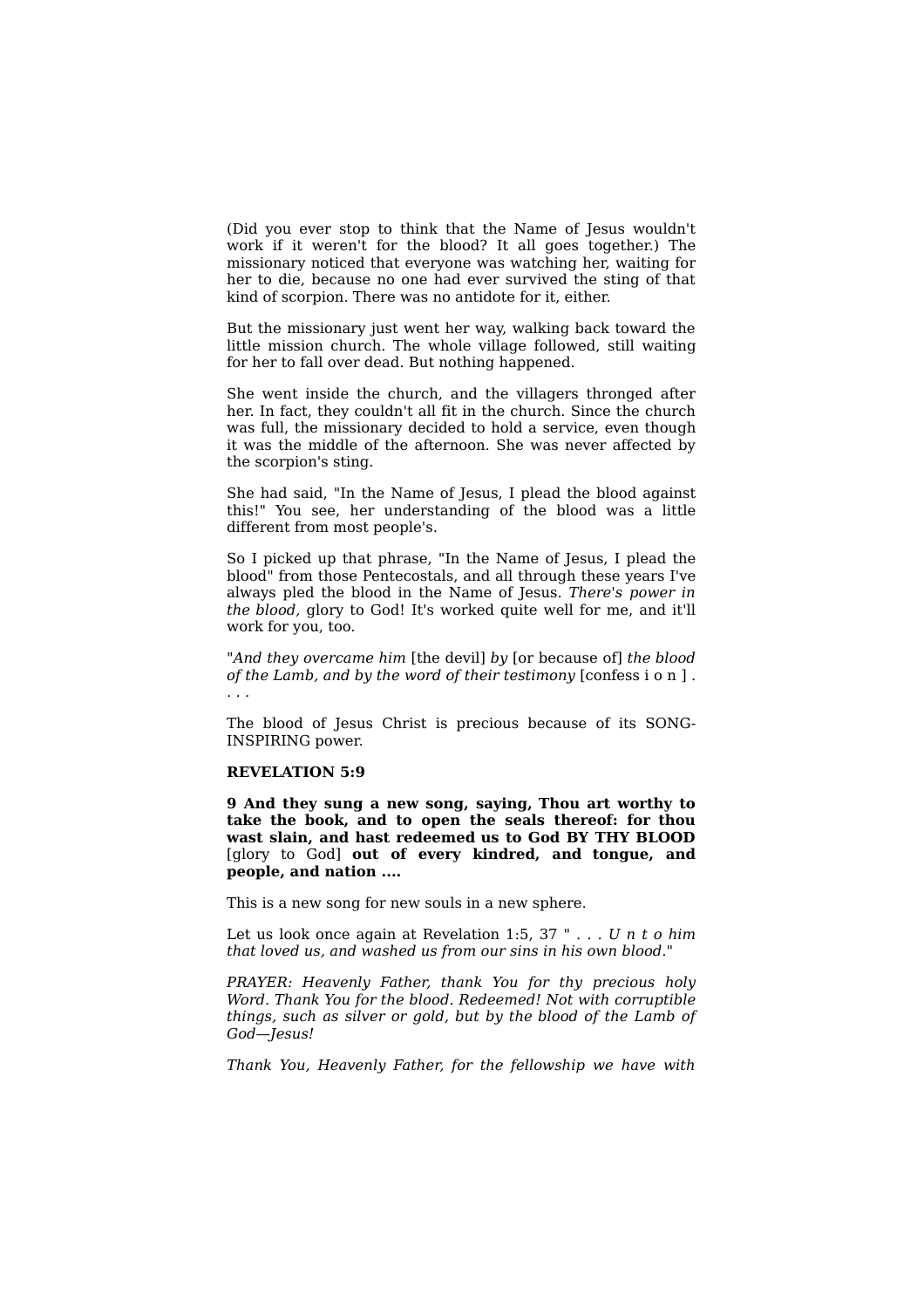(Did you ever stop to think that the Name of Jesus wouldn't work if it weren't for the blood? It all goes together.) The missionary noticed that everyone was watching her, waiting for her to die, because no one had ever survived the sting of that kind of scorpion. There was no antidote for it, either.

But the missionary just went her way, walking back toward the little mission church. The whole village followed, still waiting for her to fall over dead. But nothing happened.

She went inside the church, and the villagers thronged after her. In fact, they couldn't all fit in the church. Since the church was full, the missionary decided to hold a service, even though it was the middle of the afternoon. She was never affected by the scorpion's sting.

She had said, "In the Name of Jesus, I plead the blood against this!" You see, her understanding of the blood was a little different from most people's.

So I picked up that phrase, "In the Name of Jesus, I plead the blood" from those Pentecostals, and all through these years I've always pled the blood in the Name of Jesus. *There's power in the blood,* glory to God! It's worked quite well for me, and it'll work for you, too.

*"And they overcame him* [the devil] *by* [or because of] *the blood of the Lamb, and by the word of their testimony* [confess i o n ] *. . . .*

The blood of Jesus Christ is precious because of its SONG-INSPIRING power.

#### **REVELATION 5:9**

**9 And they sung a new song, saying, Thou art worthy to take the book, and to open the seals thereof: for thou wast slain, and hast redeemed us to God BY THY BLOOD** [glory to God] **out of every kindred, and tongue, and people, and nation ....**

This is a new song for new souls in a new sphere.

Let us look once again at Revelation 1:5, 37 *" . . . U n t o him that loved us, and washed us from our sins in his own blood."*

*PRAYER: Heavenly Father, thank You for thy precious holy Word. Thank You for the blood. Redeemed! Not with corruptible things, such as silver or gold, but by the blood of the Lamb of God—Jesus!*

*Thank You, Heavenly Father, for the fellowship we have with*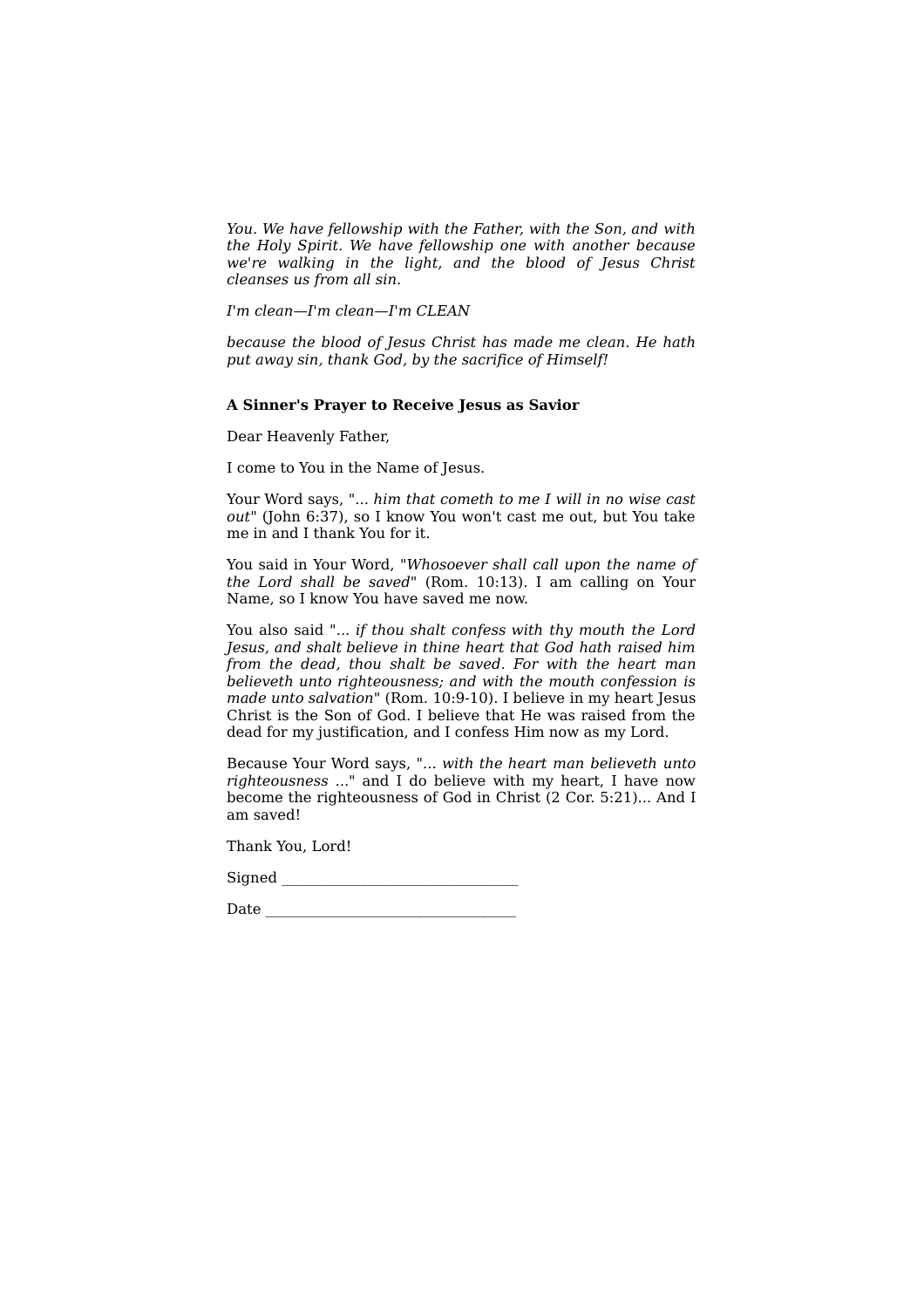*You. We have fellowship with the Father, with the Son, and with the Holy Spirit. We have fellowship one with another because we're walking in the light, and the blood of Jesus Christ cleanses us from all sin.*

*I'm clean—I'm clean—I'm CLEAN*

*because the blood of Jesus Christ has made me clean. He hath put away sin, thank God, by the sacrifice of Himself!*

#### **A Sinner's Prayer to Receive Jesus as Savior**

Dear Heavenly Father,

I come to You in the Name of Jesus.

Your Word says, *"... him that cometh to me I will in no wise cast out"* (John 6:37), so I know You won't cast me out, but You take me in and I thank You for it.

You said in Your Word, *"Whosoever shall call upon the name of the Lord shall be saved"* (Rom. 10:13). I am calling on Your Name, so I know You have saved me now.

You also said *"... if thou shalt confess with thy mouth the Lord Jesus, and shalt believe in thine heart that God hath raised him from the dead, thou shalt be saved. For with the heart man believeth unto righteousness; and with the mouth confession is made unto salvation"* (Rom. 10:9-10). I believe in my heart Jesus Christ is the Son of God. I believe that He was raised from the dead for my justification, and I confess Him now as my Lord.

Because Your Word says, *"... with the heart man believeth unto righteousness ..."* and I do believe with my heart, I have now become the righteousness of God in Christ (2 Cor. 5:21)... And I am saved!

Thank You, Lord!

Signed \_\_\_\_\_\_\_\_\_\_\_\_\_\_\_\_\_\_\_\_\_\_\_\_\_\_\_\_\_\_\_\_\_

Date \_\_\_\_\_\_\_\_\_\_\_\_\_\_\_\_\_\_\_\_\_\_\_\_\_\_\_\_\_\_\_\_\_\_\_